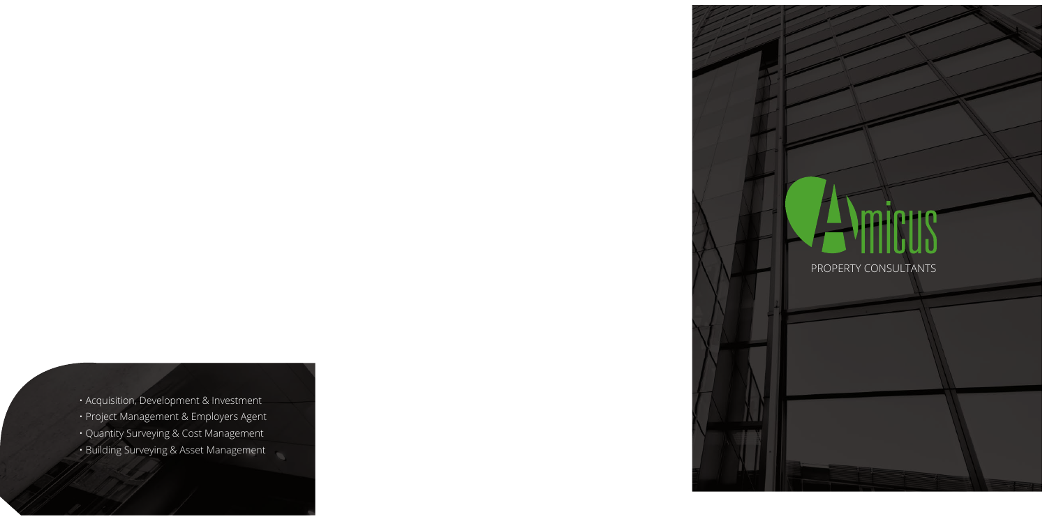# Amieus

PROPERTY CONSULTANTS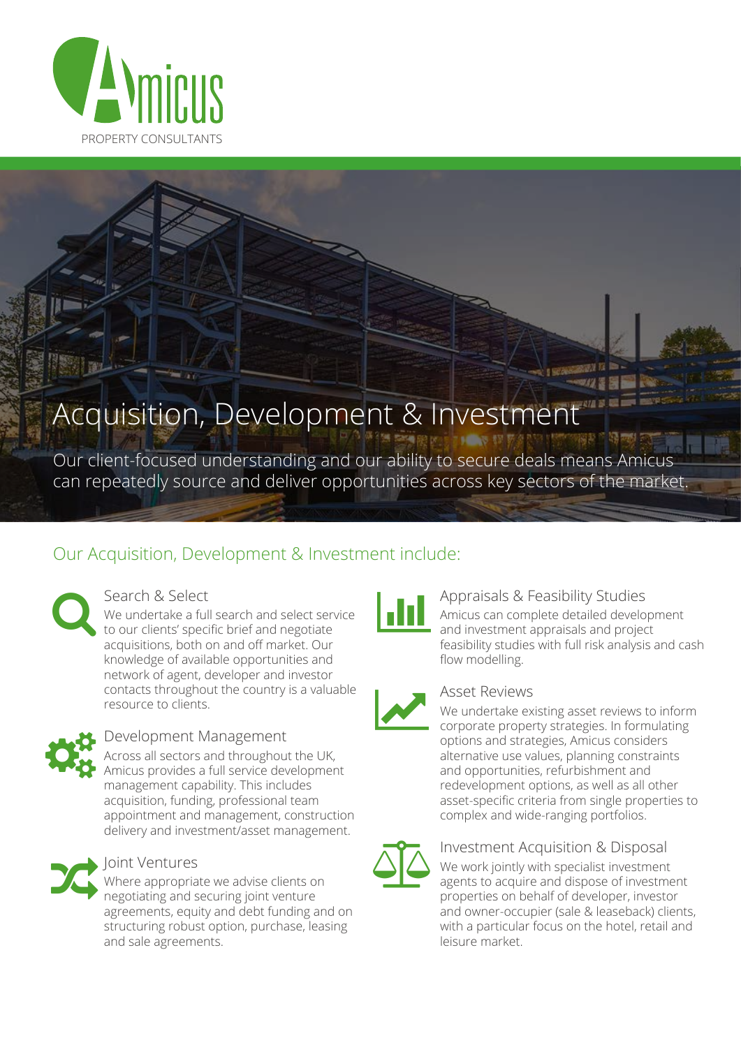

## Acquisition, Development & Investment

Our client-focused understanding and our ability to secure deals means Amicus can repeatedly source and deliver opportunities across key sectors of the market.

#### Our Acquisition, Development & Investment include:

Search & Select

We undertake a full search and select service to our clients' specific brief and negotiate acquisitions, both on and off market. Our knowledge of available opportunities and network of agent, developer and investor contacts throughout the country is a valuable resource to clients.



#### Development Management

Across all sectors and throughout the UK. Amicus provides a full service development management capability. This includes acquisition, funding, professional team appointment and management, construction delivery and investment/asset management.



#### Joint Ventures

Where appropriate we advise clients on negotiating and securing joint venture agreements, equity and debt funding and on structuring robust option, purchase, leasing and sale agreements.



#### Appraisals & Feasibility Studies Amicus can complete detailed development and investment appraisals and project feasibility studies with full risk analysis and cash flow modelling.



#### **Asset Reviews**

We undertake existing asset reviews to inform corporate property strategies. In formulating options and strategies, Amicus considers alternative use values, planning constraints and opportunities, refurbishment and redevelopment options, as well as all other asset-specific criteria from single properties to complex and wide-ranging portfolios.



#### **Investment Acquisition & Disposal**

We work jointly with specialist investment agents to acquire and dispose of investment properties on behalf of developer, investor and owner-occupier (sale & leaseback) clients, with a particular focus on the hotel, retail and leisure market.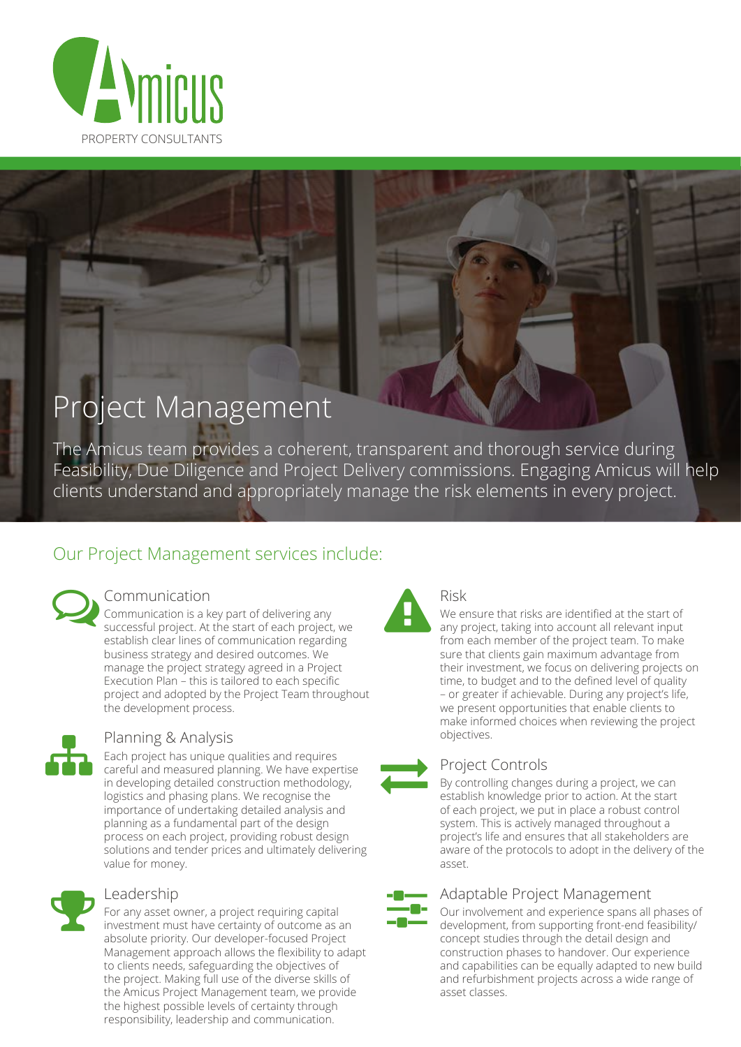

### Project Management

The Amicus team provides a coherent, transparent and thorough service during Feasibility, Due Diligence and Project Delivery commissions. Engaging Amicus will help clients understand and appropriately manage the risk elements in every project.

#### Our Project Management services include:

#### Communication

Communication is a key part of delivering any<br>successful project. At the start of each project, we establish clear lines of communication regarding business strategy and desired outcomes. We manage the project strategy agreed in a Project Execution Plan - this is tailored to each specific project and adopted by the Project Team throughout the development process.



#### Planning & Analysis

Each project has unique qualities and requires careful and measured planning. We have expertise in developing detailed construction methodology, logistics and phasing plans. We recognise the importance of undertaking detailed analysis and planning as a fundamental part of the design process on each project, providing robust design solutions and tender prices and ultimately delivering value for money.



#### Leadership

For any asset owner, a project requiring capital investment must have certainty of outcome as an absolute priority. Our developer-focused Project Management approach allows the flexibility to adapt to clients needs, safeguarding the objectives of the project. Making full use of the diverse skills of the Amicus Project Management team, we provide the highest possible levels of certainty through responsibility, leadership and communication.



#### Risk

We ensure that risks are identified at the start of any project, taking into account all relevant input from each member of the project team. To make sure that clients gain maximum advantage from their investment, we focus on delivering projects on time, to budget and to the defined level of quality - or greater if achievable. During any project's life, we present opportunities that enable clients to make informed choices when reviewing the project objectives.

#### **Project Controls**

By controlling changes during a project, we can establish knowledge prior to action. At the start of each project, we put in place a robust control system. This is actively managed throughout a project's life and ensures that all stakeholders are aware of the protocols to adopt in the delivery of the asset.

#### Adaptable Project Management

Our involvement and experience spans all phases of development, from supporting front-end feasibility/ concept studies through the detail design and construction phases to handover. Our experience and capabilities can be equally adapted to new build and refurbishment projects across a wide range of asset classes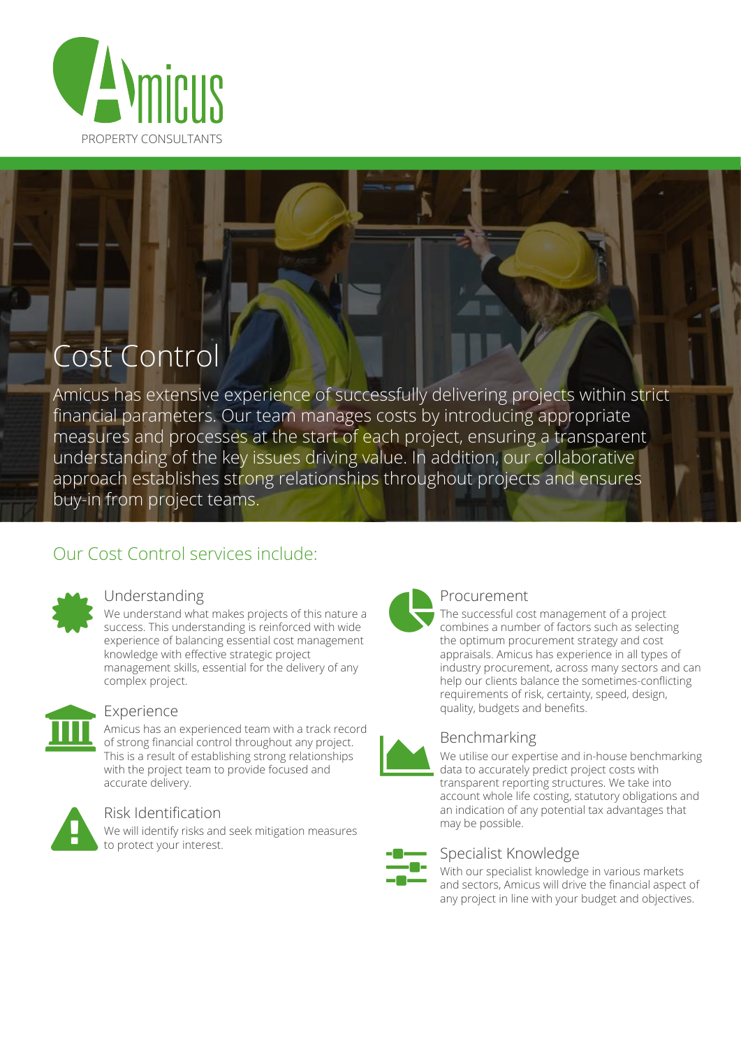

## Cost Contro

Amicus has extensive experience of successfully delivering projects within strict financial parameters. Our team manages costs by introducing appropriate measures and processes at the start of each project, ensuring a transparent understanding of the key issues driving value. In addition, our collaborative approach establishes strong relationships throughout projects and ensures buy-in from project teams.

#### Our Cost Control services include:



#### Understanding

We understand what makes projects of this nature a success. This understanding is reinforced with wide experience of balancing essential cost management knowledge with effective strategic project management skills, essential for the delivery of any complex project.



#### Experience

Amicus has an experienced team with a track record of strong financial control throughout any project. This is a result of establishing strong relationships with the project team to provide focused and accurate delivery.



#### Risk Identification

We will identify risks and seek mitigation measures to protect your interest.



#### Procurement

The successful cost management of a project combines a number of factors such as selecting the optimum procurement strategy and cost appraisals. Amicus has experience in all types of industry procurement, across many sectors and can help our clients balance the sometimes-conflicting requirements of risk, certainty, speed, design, quality, budgets and benefits.



#### Benchmarking

We utilise our expertise and in-house benchmarking data to accurately predict project costs with transparent reporting structures. We take into account whole life costing, statutory obligations and an indication of any potential tax advantages that may be possible.

#### Specialist Knowledge

With our specialist knowledge in various markets and sectors, Amicus will drive the financial aspect of any project in line with your budget and objectives.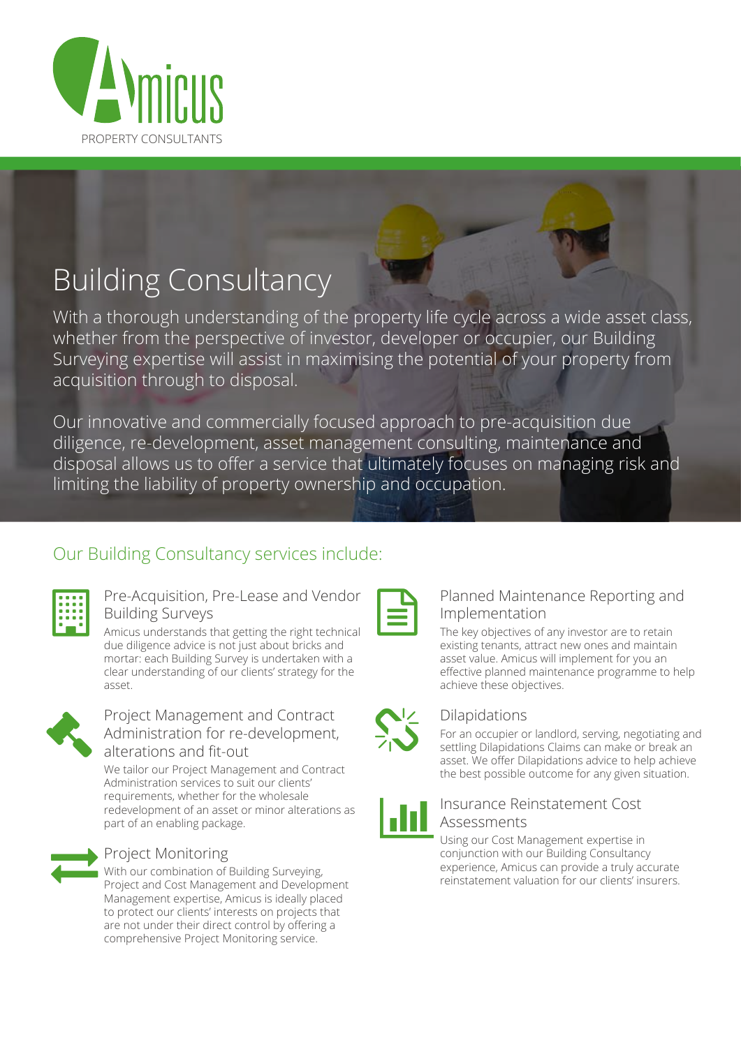

## **Building Consultancy**

With a thorough understanding of the property life cycle across a wide asset class, whether from the perspective of investor, developer or occupier, our Building Surveying expertise will assist in maximising the potential of your property from acquisition through to disposal.

Our innovative and commercially focused approach to pre-acquisition due diligence, re-development, asset management consulting, maintenance and disposal allows us to offer a service that ultimately focuses on managing risk and limiting the liability of property ownership and occupation.

#### Our Building Consultancy services include:

|    | . |     |  |
|----|---|-----|--|
|    | ۰ |     |  |
| m. |   | . . |  |
| u. |   | ۰   |  |
|    |   |     |  |
|    |   |     |  |

#### Pre-Acquisition, Pre-Lease and Vendor **Building Surveys**

Amicus understands that getting the right technical due diligence advice is not just about bricks and mortar: each Building Survey is undertaken with a clear understanding of our clients' strategy for the asset.



#### Project Management and Contract Administration for re-development, alterations and fit-out

We tailor our Project Management and Contract Administration services to suit our clients' requirements, whether for the wholesale redevelopment of an asset or minor alterations as part of an enabling package.



#### **Project Monitoring**

With our combination of Building Surveying, Project and Cost Management and Development Management expertise, Amicus is ideally placed to protect our clients' interests on projects that are not under their direct control by offering a comprehensive Project Monitoring service.

#### Planned Maintenance Reporting and Implementation

The key objectives of any investor are to retain existing tenants, attract new ones and maintain asset value. Amicus will implement for you an effective planned maintenance programme to help achieve these objectives.



#### **Dilapidations**

For an occupier or landlord, serving, negotiating and settling Dilapidations Claims can make or break an asset. We offer Dilapidations advice to help achieve the best possible outcome for any given situation.



#### Insurance Reinstatement Cost Assessments

Using our Cost Management expertise in conjunction with our Building Consultancy experience, Amicus can provide a truly accurate reinstatement valuation for our clients' insurers.